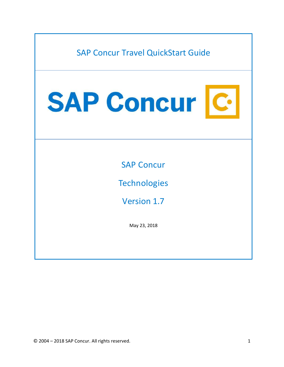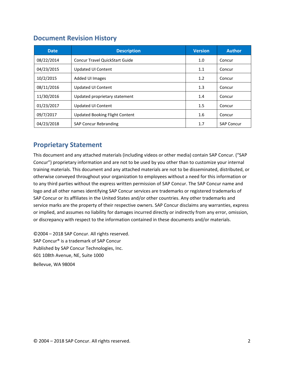### <span id="page-1-0"></span>**Document Revision History**

| <b>Date</b> | <b>Description</b>                    | <b>Version</b> | <b>Author</b>     |
|-------------|---------------------------------------|----------------|-------------------|
| 08/22/2014  | <b>Concur Travel QuickStart Guide</b> | 1.0            | Concur            |
| 04/23/2015  | <b>Updated UI Content</b>             | 1.1            | Concur            |
| 10/2/2015   | Added UI Images                       | 1.2            | Concur            |
| 08/11/2016  | <b>Updated UI Content</b>             | 1.3            | Concur            |
| 11/30/2016  | Updated proprietary statement         | 1.4            | Concur            |
| 01/23/2017  | <b>Updated UI Content</b>             | 1.5            | Concur            |
| 09/7/2017   | Updated Booking Flight Content        | 1.6            | Concur            |
| 04/23/2018  | <b>SAP Concur Rebranding</b>          | 1.7            | <b>SAP Concur</b> |

## <span id="page-1-1"></span>**Proprietary Statement**

This document and any attached materials (including videos or other media) contain SAP Concur. ("SAP Concur") proprietary information and are not to be used by you other than to customize your internal training materials. This document and any attached materials are not to be disseminated, distributed, or otherwise conveyed throughout your organization to employees without a need for this information or to any third parties without the express written permission of SAP Concur. The SAP Concur name and logo and all other names identifying SAP Concur services are trademarks or registered trademarks of SAP Concur or its affiliates in the United States and/or other countries. Any other trademarks and service marks are the property of their respective owners. SAP Concur disclaims any warranties, express or implied, and assumes no liability for damages incurred directly or indirectly from any error, omission, or discrepancy with respect to the information contained in these documents and/or materials.

©2004 – 2018 SAP Concur. All rights reserved. SAP Concur® is a trademark of SAP Concur Published by SAP Concur Technologies, Inc. 601 108th Avenue, NE, Suite 1000 Bellevue, WA 98004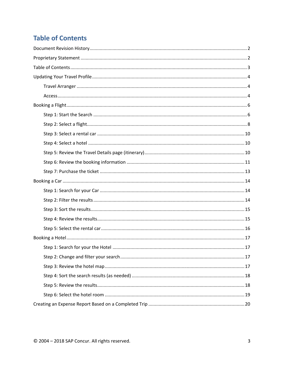# <span id="page-2-0"></span>**Table of Contents**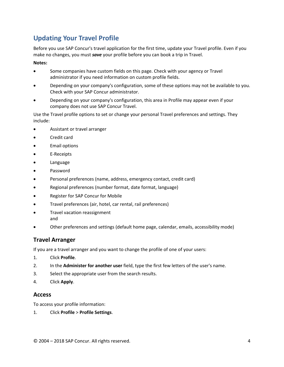## <span id="page-3-0"></span>**Updating Your Travel Profile**

Before you use SAP Concur's travel application for the first time, update your Travel profile. Even if you make no changes, you must *save* your profile before you can book a trip in Travel.

#### **Notes:**

- Some companies have custom fields on this page. Check with your agency or Travel administrator if you need information on custom profile fields.
- Depending on your company's configuration, some of these options may not be available to you. Check with your SAP Concur administrator.
- Depending on your company's configuration, this area in Profile may appear even if your company does not use SAP Concur Travel.

Use the Travel profile options to set or change your personal Travel preferences and settings. They include:

- Assistant or travel arranger
- Credit card
- Email options
- E-Receipts
- Language
- Password
- Personal preferences (name, address, emergency contact, credit card)
- Regional preferences (number format, date format, language)
- Register for SAP Concur for Mobile
- Travel preferences (air, hotel, car rental, rail preferences)
- Travel vacation reassignment and
- Other preferences and settings (default home page, calendar, emails, accessibility mode)

#### <span id="page-3-1"></span>**Travel Arranger**

If you are a travel arranger and you want to change the profile of one of your users:

- 1. Click **Profile**.
- 2. In the **Administer for another user** field, type the first few letters of the user's name.
- 3. Select the appropriate user from the search results.
- 4. Click **Apply**.

#### <span id="page-3-2"></span>**Access**

To access your profile information:

1. Click **Profile** > **Profile Settings**.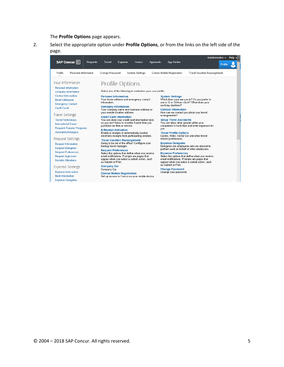The **Profile Options** page appears.

2. Select the appropriate option under **Profile Options**, or from the links on the left side of the page.

|                                                                                                         |                 |                                                                                                                                                                   |                |                        |                  |                                                                                                                                                                         | Administration $\sim$                           |         | Help $\cdot$ |  |
|---------------------------------------------------------------------------------------------------------|-----------------|-------------------------------------------------------------------------------------------------------------------------------------------------------------------|----------------|------------------------|------------------|-------------------------------------------------------------------------------------------------------------------------------------------------------------------------|-------------------------------------------------|---------|--------------|--|
| SAP Concur <sup>C</sup>                                                                                 | <b>Requests</b> | Travel                                                                                                                                                            | <b>Expense</b> | Invoice                | <b>Approvals</b> | App Center                                                                                                                                                              |                                                 | Profile |              |  |
| Profile<br>Personal Information                                                                         |                 | Change Password                                                                                                                                                   |                | <b>System Settings</b> |                  | Concur Mobile Registration                                                                                                                                              | <b>Travel Vacation Reassignment</b>             |         |              |  |
| Your Information<br><b>Personal Information</b>                                                         |                 | Profile Options                                                                                                                                                   |                |                        |                  |                                                                                                                                                                         |                                                 |         |              |  |
| <b>Company Information</b>                                                                              |                 | Select one of the following to customize your user profile.                                                                                                       |                |                        |                  |                                                                                                                                                                         |                                                 |         |              |  |
| <b>Contact Information</b><br><b>Email Addresses</b><br><b>Emergency Contact</b><br><b>Credit Cards</b> |                 | <b>Personal Information</b><br>Your home address and emergency contact<br>information.<br><b>Company Information</b><br>Your company name and business address or |                |                        |                  | <b>System Settings</b><br>Which time zone are you in? Do you prefer to<br>use a 12 or 24-hour clock? When does your<br>workday start/end?<br><b>Contact Information</b> |                                                 |         |              |  |
| <b>Travel Settings</b>                                                                                  |                 | your remote location address.<br><b>Credit Card Information</b>                                                                                                   |                |                        |                  | How can we contact you about your travel<br>arrangements?                                                                                                               |                                                 |         |              |  |
| <b>Travel Preferences</b><br><b>International Travel</b>                                                |                 | You can store your credit card information here<br>so you don't have to re-enter it each time you<br>purchase an item or service.                                 |                |                        |                  | <b>Setup Travel Assistants</b><br>You can allow other people within your                                                                                                | companies to book trips and enter expenses for  |         |              |  |
| <b>Frequent-Traveler Programs</b><br><b>Assistants/Arrangers</b>                                        |                 | <b>E-Receipt Activation</b><br>Enable e-receipts to automatically receive<br>electronic receipts from participating vendors.                                      |                |                        |                  | you.<br><b>Travel Profile Options</b><br>Carrier, Hotel, Rental Car and other travel-                                                                                   |                                                 |         |              |  |
| <b>Request Settings</b>                                                                                 |                 | <b>Travel Vacation Reassignment</b>                                                                                                                               |                |                        |                  | related preferences.                                                                                                                                                    |                                                 |         |              |  |
| <b>Request Information</b><br><b>Request Delegates</b>                                                  |                 | Going to be out of the office? Configure your<br>backup travel manager.                                                                                           |                |                        |                  | <b>Expense Delegates</b><br>Delegates are employees who are allowed to<br>perform work on behalf of other employees.                                                    |                                                 |         |              |  |
| <b>Request Preferences</b>                                                                              |                 | <b>Request Preferences</b><br>Select the options that define when you receive                                                                                     |                |                        |                  | <b>Expense Preferences</b>                                                                                                                                              |                                                 |         |              |  |
| <b>Request Approvers</b><br><b>Favorite Attendees</b>                                                   |                 | email notifications. Prompts are pages that<br>appear when you select a certain action, such<br>as Submit or Print                                                |                |                        |                  | email notifications. Prompts are pages that<br>appear when you select a certain action, such                                                                            | Select the options that define when you receive |         |              |  |
| <b>Expense Settings</b>                                                                                 |                 | <b>Company Car</b><br>Company Car                                                                                                                                 |                |                        |                  | as Submit or Print.<br><b>Change Password</b>                                                                                                                           |                                                 |         |              |  |
| <b>Expense Information</b><br><b>Bank Information</b>                                                   |                 | <b>Concur Mobile Registration</b><br>Set up access to Concur on your mobile device                                                                                |                |                        |                  | Change your password.                                                                                                                                                   |                                                 |         |              |  |
| <b>Expense Delegates</b>                                                                                |                 |                                                                                                                                                                   |                |                        |                  |                                                                                                                                                                         |                                                 |         |              |  |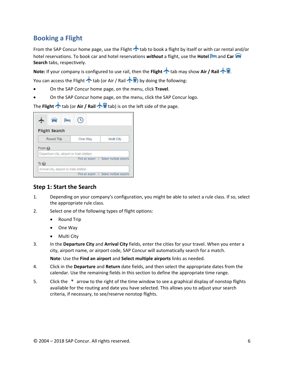## <span id="page-5-0"></span>**Booking a Flight**

From the SAP Concur home page, use the Flight  $\triangle$  tab to book a flight by itself or with car rental and/or hotel reservations. To book car and hotel reservations *without* a flight, use the **Hotel** and **Car Search** tabs, respectively.

**Note:** If your company is configured to use rail, then the **Flight**  $\triangle$  tab may show **Air /** Rail  $\triangle$  **R**.

You can access the Flight  $\bigstar$  tab (or Air / Rail  $\bigstar$ ) by doing the following:

- On the SAP Concur home page, on the menu, click **Travel**.
- On the SAP Concur home page, on the menu, click the SAP Concur logo.

The **Flight** ★ tab (or Air / Rail ★ tab) is on the left side of the page.

| <b>Flight Search</b>                               |                 |                          |
|----------------------------------------------------|-----------------|--------------------------|
| Round Trip                                         | One Way         | Multi City               |
| From @<br>Departure city, airport or train station |                 |                          |
| To @                                               | Find an airport | Select multiple airports |
| Arrival city, airport or train station             |                 |                          |
|                                                    | Find an airport | Select multiple airports |

#### <span id="page-5-1"></span>**Step 1: Start the Search**

- 1. Depending on your company's configuration, you might be able to select a rule class. If so, select the appropriate rule class.
- 2. Select one of the following types of flight options:
	- Round Trip
	- One Way
	- Multi City
- 3. In the **Departure City** and **Arrival City** fields, enter the cities for your travel. When you enter a city, airport name, or airport code, SAP Concur will automatically search for a match.

**Note**: Use the **Find an airport** and **Select multiple airports** links as needed.

- 4. Click in the **Departure** and **Return** date fields, and then select the appropriate dates from the calendar. Use the remaining fields in this section to define the appropriate time range.
- 5. Click the  $\blacksquare$  arrow to the right of the time window to see a graphical display of nonstop flights available for the routing and date you have selected. This allows you to adjust your search criteria, if necessary, to see/reserve nonstop flights.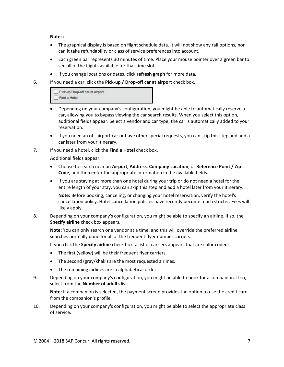**Notes:** 

- The graphical display is based on flight schedule data. It will not show any rail options, nor can it take refundability or class of service preferences into account.
- Each green bar represents 30 minutes of time. Place your mouse pointer over a green bar to see all of the flights available for that time slot.
- If you change locations or dates, click **refresh graph** for more data.
- 6. If you need a car, click the **Pick-up / Drop-off car at airport** check box.

| Pick-up/Drop-off car at airport |  |
|---------------------------------|--|
| Find a Hotel                    |  |

- Depending on your company's configuration, you might be able to automatically reserve a car, allowing you to bypass viewing the car search results. When you select this option, additional fields appear. Select a vendor and car type; the car is automatically added to your reservation.
- If you need an off-airport car or have other special requests, you can skip this step and add a car later from your itinerary.
- 7. If you need a hotel, click the **Find a Hotel** check box.

Additional fields appear.

- Choose to search near an **Airport**, **Address**, **Company Location**, or **Reference Point / Zip Code**, and then enter the appropriate information in the available fields.
- If you are staying at more than one hotel during your trip or do not need a hotel for the entire length of your stay, you can skip this step and add a hotel later from your itinerary.

**Note:** Before booking, canceling, or changing your hotel reservation, verify the hotel's cancellation policy. Hotel cancellation policies have recently become much stricter. Fees will likely apply.

8. Depending on your company's configuration, you might be able to specify an airline. If so, the **Specify airline** check box appears.

**Note:** You can only search one vendor at a time, and this will override the preferred airline searches normally done for all of the frequent flyer number carriers.

If you click the **Specify airline** check box, a list of carriers appears that are color coded:

- The first (yellow) will be their frequent flyer carriers.
- The second (gray/khaki) are the most requested airlines.
- The remaining airlines are in alphabetical order.
- 9. Depending on your company's configuration, you might be able to book for a companion. If so, select from the **Number of adults** list.

**Note:** If a companion is selected, the payment screen provides the option to use the credit card from the companion's profile.

10. Depending on your company's configuration, you might be able to select the appropriate class of service.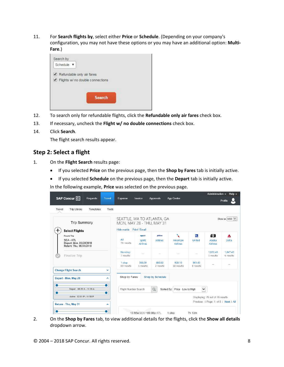11. For **Search flights by**, select either **Price** or **Schedule**. (Depending on your company's configuration, you may not have these options or you may have an additional option: **Multi-Fare**.)



- 12. To search only for refundable flights, click the **Refundable only air fares** check box.
- 13. If necessary, uncheck the **Flight w/ no double connections** check box.
- 14. Click **Search**.

The flight search results appear.

#### <span id="page-7-0"></span>**Step 2: Select a flight**

- 1. On the **Flight Search** results page:
	- If you selected **Price** on the previous page, then the **Shop by Fares** tab is initially active.
	- If you selected **Schedule** on the previous page, then the **Depart** tab is initially active.

In the following example, **Price** was selected on the previous page.

|                                                                             |                                                         |                                     |                        |                                  |                     | Administration -                     | Help $\sim$                   |
|-----------------------------------------------------------------------------|---------------------------------------------------------|-------------------------------------|------------------------|----------------------------------|---------------------|--------------------------------------|-------------------------------|
| SAP Concur <sup>C</sup><br><b>Requests</b><br><b>Travel</b>                 | Expense                                                 | Invoice                             | <b>Approvals</b>       | App Center                       |                     |                                      | Profile                       |
| <b>Trip Library</b><br>Travel<br>Templates<br>Tools                         |                                                         |                                     |                        |                                  |                     |                                      |                               |
| <b>Trip Summary</b>                                                         | SEATTLE, WA TO ATLANTA, GA<br>MON, MAY 28 - THU, MAY 31 |                                     |                        |                                  |                     |                                      | Show as $USD \nightharpoonup$ |
| <b>Select Flights</b>                                                       | Hide matrix Print / Email                               |                                     |                        |                                  |                     |                                      |                               |
| Round Trip<br>SFA-ATI<br>Depart: Mon, 05/28/2018<br>Return: Thu. 05/31/2018 | All<br>76 results                                       | spirit<br>Spirit<br><b>Airlines</b> | jetBlue<br>JetBlue     | X<br>American<br><b>Airlines</b> | <b>S</b><br>United  | 儒<br>Alaska<br><b>Airlines</b>       | A<br><b>Delta</b>             |
| Finalize Trip                                                               | Nonstop<br>7 results                                    |                                     |                        |                                  |                     | 1,022.40<br>1 results                | 1.047.40<br>6 results         |
|                                                                             | 1 stop<br>69 results                                    | 568.59<br>1 results                 | 880.63<br>2 results    | 928.10<br>58 results             | 961.60<br>8 results |                                      |                               |
| <b>Change Flight Search</b><br>$\checkmark$                                 |                                                         |                                     |                        |                                  |                     |                                      |                               |
| Depart - Mon, May 28<br>ㅅ                                                   | Shop by Fares                                           |                                     | Shop by Schedule       |                                  |                     |                                      |                               |
| Depart 06:20 A - 11:28 A                                                    | Flight Number Search                                    |                                     | $\alpha$<br>Sorted By: | Price - Low to High              | $\checkmark$        |                                      |                               |
| 0<br>Arrive 02:01 P - 11:58 P                                               |                                                         |                                     |                        |                                  |                     | Displaying: 76 out of 76 results.    |                               |
| Return - Thu, May 31<br>ㅅ                                                   |                                                         |                                     |                        |                                  |                     | Previous   Page: 1 of 8   Next   All |                               |
|                                                                             |                                                         | 10:55a SEA→09:08p ATL               |                        | 1 stop                           | 7h 13m              |                                      |                               |

2. On the **Shop by Fares** tab, to view additional details for the flights, click the **Show all details**  dropdown arrow.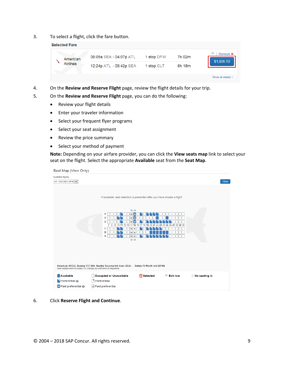3. To select a flight, click the fare button.

| <b>Selected Fare</b> |                                     |            |        |                         |
|----------------------|-------------------------------------|------------|--------|-------------------------|
| American             | 06:05a SEA→04:07p ATL               | 1 stop DFW | 7h 02m | ş<br>Remove <b>x</b>    |
| <b>Airlines</b>      | 12:24p $ATL \rightarrow 05:42p$ SEA | 1 stop CLT | 8h 18m | \$1,026.10              |
|                      |                                     |            |        | Show all details $\vee$ |

- 4. On the **Review and Reserve Flight** page, review the flight details for your trip.
- 5. On the **Review and Reserve Flight** page, you can do the following:
	- Review your flight details
	- Enter your traveler information
	- Select your frequent flyer programs
	- Select your seat assignment
	- Review the price summary
	- Select your method of payment

**Note:** Depending on your airfare provider, you can click the **View seats map** link to select your seat on the flight. Select the appropriate **Available** seat from the **Seat Map**.

| Seat Map (View Only)                                            |                                                                                                                                                                                                                                                   |              |
|-----------------------------------------------------------------|---------------------------------------------------------------------------------------------------------------------------------------------------------------------------------------------------------------------------------------------------|--------------|
| Available flights<br>AA 1332 SEA-DFW V                          |                                                                                                                                                                                                                                                   | <b>Close</b> |
| Seat assignment is subject to change up until time of departure | If available, seat selection is presented after you have chosen a flight.<br>《《<br>F<br>٠<br>Е<br>D<br>7<br>с<br>в<br>А<br>$\mathbb{V} \mathbb{V}$<br>American #1332, Boeing 737-800, Seattle Tacoma Intl Arpt (SEA) - Dallas Ft Worth Intl (DFW) |              |
| Available<br>Preferential @<br>Paid preferential @              | <b>D</b> Selected<br>$\hat{z}$ Exit row<br>No seating @<br><b>Occupied or Unavailable</b><br>D<br>Preferential<br>$\star$ Paid preferential                                                                                                       |              |

6. Click **Reserve Flight and Continue**.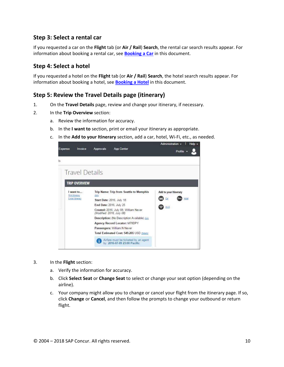### <span id="page-9-0"></span>**Step 3: Select a rental car**

If you requested a car on the **Flight** tab (or **Air / Rail**) **Search**, the rental car search results appear. For information about booking a rental car, see **[Booking a Car](#page-13-0)** in this document.

#### <span id="page-9-1"></span>**Step 4: Select a hotel**

If you requested a hotel on the **Flight** tab (or **Air / Rail**) **Search**, the hotel search results appear. For information about booking a hotel, see **[Booking a Hotel](#page-15-1)** in this document.

#### <span id="page-9-2"></span>**Step 5: Review the Travel Details page (itinerary)**

- 1. On the **Travel Details** page, review and change your itinerary, if necessary.
- 2. In the **Trip Overview** section:
	- a. Review the information for accuracy.
	- b. In the **I want to** section, print or email your itinerary as appropriate.
	- c. In the **Add to your Itinerary** section, add a car, hotel, Wi-Fi, etc., as needed.

| Expense | Invoice                                               | Approvals                                            | <b>App Center</b>                                                           | Administration -      | $He$ lp $-$<br>Profile |
|---------|-------------------------------------------------------|------------------------------------------------------|-----------------------------------------------------------------------------|-----------------------|------------------------|
| ίs.     |                                                       |                                                      |                                                                             |                       |                        |
|         | <b>Travel Details</b>                                 |                                                      |                                                                             |                       |                        |
|         | <b>TRIP OVERVIEW</b>                                  |                                                      |                                                                             |                       |                        |
|         | want to<br><b>Print Itinerary</b><br>E-mail itinerary | Gditt                                                | Trip Name: Trip from Seattle to Memphis<br><b>Start Date: 2016, July 18</b> | Add to your Itinerary |                        |
|         |                                                       | End Date: 2016, July 25<br>(Modified: 2016, July 08) | Created: 2016. July 08. William Never                                       |                       |                        |
|         |                                                       |                                                      | Description: (No Description Available) Edit                                |                       |                        |
|         |                                                       |                                                      | Agency Record Locator: M78DPY                                               |                       |                        |
|         |                                                       |                                                      | Passengers: William N Never                                                 |                       |                        |
|         |                                                       |                                                      | Total Estimated Cost: 549.205 USD Details:                                  |                       |                        |
|         |                                                       |                                                      | Airfare must be ticketed by an agent<br>by: 2016-07-09 23:00 Pacific        |                       |                        |

- 3. In the **Flight** section:
	- a. Verify the information for accuracy.
	- b. Click **Select Seat** or **Change Seat** to select or change your seat option (depending on the airline).
	- c. Your company might allow you to change or cancel your flight from the itinerary page. If so, click **Change** or **Cancel**, and then follow the prompts to change your outbound or return flight.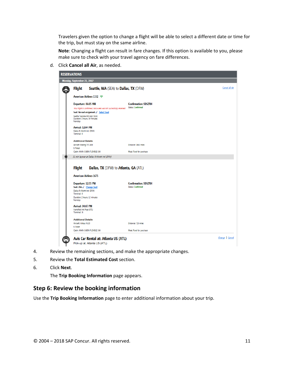Travelers given the option to change a flight will be able to select a different date or time for the trip, but must stay on the same airline.

**Note**: Changing a flight can result in fare changes. If this option is available to you, please make sure to check with your travel agency on fare differences.

d. Click **Cancel all Air**, as needed.

| <b>RESERVATIONS</b> |                                                                                                                                         |                                                                                                               |                                                         |                 |
|---------------------|-----------------------------------------------------------------------------------------------------------------------------------------|---------------------------------------------------------------------------------------------------------------|---------------------------------------------------------|-----------------|
|                     | Monday, September 25, 2017                                                                                                              |                                                                                                               |                                                         |                 |
|                     | <b>Flight</b>                                                                                                                           | Seattle, WA (SEA) to Dallas, TX (DFW)                                                                         |                                                         | Cancel all Air  |
|                     |                                                                                                                                         | American Airlines 1332 <sup>参</sup>                                                                           |                                                         |                 |
|                     | Departure: 06:05 AM<br>Seattle Tacoma Intl Arpt (SEA)<br>Duration: 3 hours, 59 minutes<br>Nonstop                                       | Your flight is confirmed, but a seat was not successfully reserved.<br>Seat: No seat assignment discrete Seat | <b>Confirmation: SDSZRH</b><br><b>Status: Confirmed</b> |                 |
|                     | Arrival: 12:04 PM<br>Dallas Ft Worth Intl (DFW)<br>Terminal: 0                                                                          |                                                                                                               |                                                         |                 |
|                     | <b>Additional Details</b><br>Aircraft: Boeing 737-800<br>E-Ticket                                                                       |                                                                                                               | Distance: 1663 miles                                    |                 |
|                     | Cabin: MAIN CABIN FLEXIBLE (M)                                                                                                          | 51 min layover at Dallas Ft Worth Intl (DFW)                                                                  | Meal: Food for purchase                                 |                 |
|                     | <b>Flight</b><br><b>American Airlines 1675</b>                                                                                          | Dallas, TX (DFW) to Atlanta, GA (ATL)                                                                         |                                                         |                 |
|                     | Departure: 12:55 PM<br>Seat: 24A d Change Seat<br>Dallas Ft Worth Intl (DFW)<br>Terminal: 0<br>Duration: 2 hours, 12 minutes<br>Nonstop |                                                                                                               | <b>Confirmation: SDSZRH</b><br><b>Status: Confirmed</b> |                 |
|                     | Arrival: 04:07 PM<br>Hartsfield Intl Arpt (ATL)<br>Terminal: N                                                                          |                                                                                                               |                                                         |                 |
|                     | <b>Additional Details</b><br>Aircraft: Airbus A320<br><b>E-Ticket</b>                                                                   |                                                                                                               | Distance: 725 miles                                     |                 |
|                     | Cabin: MAIN CABIN FLEXIBLE (M)                                                                                                          |                                                                                                               | Meal: Food for purchase                                 |                 |
|                     |                                                                                                                                         | Avis Car Rental at: Atlanta US (ATL)<br>Pick-up at: Atlanta US (ATL)                                          |                                                         | Change   Cancel |

- 4. Review the remaining sections, and make the appropriate changes.
- 5. Review the **Total Estimated Cost** section.
- 6. Click **Next**.

The **Trip Booking Information** page appears.

#### <span id="page-10-0"></span>**Step 6: Review the booking information**

Use the **Trip Booking Information** page to enter additional information about your trip.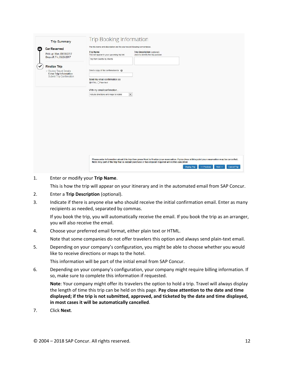| <b>Trip Summary</b><br><b>Car Reserved</b><br>Pick-up: Mon. 09/25/2017             | <b>Trip Booking Information</b><br>The trip name and description are for your record keeping convenience.<br><b>Trip Name</b><br>Trip Description (optional)<br>This will appear in your upcoming trip list.<br>Used to identify the trip purpose.                                                                  |
|------------------------------------------------------------------------------------|---------------------------------------------------------------------------------------------------------------------------------------------------------------------------------------------------------------------------------------------------------------------------------------------------------------------|
| Drop-off: Fri, 09/29/2017<br><b>Finalize Trip</b>                                  | Trip from Sesttle to Atlanta                                                                                                                                                                                                                                                                                        |
| Review Travel Details<br><b>Enter Trip Information</b><br>Submit Trip Confirmation | Send a copy of the confirmation to: @<br>Send my email confirmation as                                                                                                                                                                                                                                              |
|                                                                                    | CHTML OPlain-text<br>With my email confirmation                                                                                                                                                                                                                                                                     |
|                                                                                    | $\check{ }$<br>include directions and maps to hotels                                                                                                                                                                                                                                                                |
|                                                                                    |                                                                                                                                                                                                                                                                                                                     |
|                                                                                    |                                                                                                                                                                                                                                                                                                                     |
|                                                                                    |                                                                                                                                                                                                                                                                                                                     |
|                                                                                    |                                                                                                                                                                                                                                                                                                                     |
|                                                                                    | Please enter information about this trip then press Next to finalize your reservation. If you close at this point your reservation may be cancelled.<br>Note: Any part of the trip that is instant purchase or has deposit required will not be cancelled.<br><< Previous<br>Next >><br>Cancel Trip<br>Display Trip |

1. Enter or modify your **Trip Name**.

This is how the trip will appear on your itinerary and in the automated email from SAP Concur.

- 2. Enter a **Trip Description** (optional).
- 3. Indicate if there is anyone else who should receive the initial confirmation email. Enter as many recipients as needed, separated by commas.

If you book the trip, you will automatically receive the email. If you book the trip as an arranger, you will also receive the email.

4. Choose your preferred email format, either plain text or HTML.

Note that some companies do not offer travelers this option and always send plain-text email.

5. Depending on your company's configuration, you might be able to choose whether you would like to receive directions or maps to the hotel.

This information will be part of the initial email from SAP Concur.

6. Depending on your company's configuration, your company might require billing information. If so, make sure to complete this information if requested.

**Note**: Your company might offer its travelers the option to hold a trip. Travel will always display the length of time this trip can be held on this page. **Pay close attention to the date and time displayed; if the trip is not submitted, approved, and ticketed by the date and time displayed, in most cases it will be automatically cancelled**.

7. Click **Next**.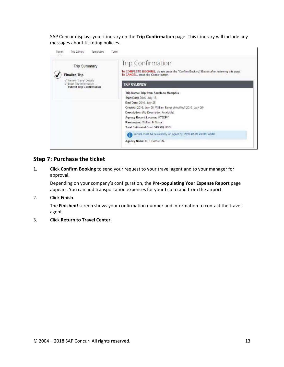SAP Concur displays your itinerary on the **Trip Confirmation** page. This itinerary will include any messages about ticketing policies.



#### <span id="page-12-0"></span>**Step 7: Purchase the ticket**

1. Click **Confirm Booking** to send your request to your travel agent and to your manager for approval.

Depending on your company's configuration, the **Pre-populating Your Expense Report** page appears. You can add transportation expenses for your trip to and from the airport.

2. Click **Finish**.

The **Finished!** screen shows your confirmation number and information to contact the travel agent.

3. Click **Return to Travel Center**.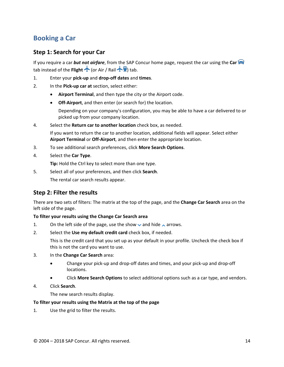## <span id="page-13-0"></span>**Booking a Car**

#### <span id="page-13-1"></span>**Step 1: Search for your Car**

If you require a car *but not airfare*, from the SAP Concur home page, request the car using the **Car** tab instead of the **Flight**  $\bigwedge$  (or Air / Rail  $\bigwedge$  **F**) tab.

1. Enter your **pick-up** and **drop-off dates** and **times**.

- 2. In the **Pick-up car at** section, select either:
	- **Airport Terminal**, and then type the city or the Airport code.
	- **Off-Airport**, and then enter (or search for) the location.

Depending on your company's configuration, you may be able to have a car delivered to or picked up from your company location.

4. Select the **Return car to another location** check box, as needed.

If you want to return the car to another location, additional fields will appear. Select either **Airport Terminal** or **Off-Airport**, and then enter the appropriate location.

- 3. To see additional search preferences, click **More Search Options**.
- 4. Select the **Car Type**.

**Tip:** Hold the Ctrl key to select more than one type.

5. Select all of your preferences, and then click **Search**. The rental car search results appear.

#### <span id="page-13-2"></span>**Step 2: Filter the results**

There are two sets of filters: The matrix at the top of the page, and the **Change Car Search** area on the left side of the page.

#### **To filter your results using the Change Car Search area**

- 1. On the left side of the page, use the show  $\vee$  and hide  $\wedge$  arrows.
- 2. Select the **Use my default credit card** check box, if needed.

This is the credit card that you set up as your default in your profile. Uncheck the check box if this is not the card you want to use.

- 3. In the **Change Car Search** area:
	- Change your pick-up and drop-off dates and times, and your pick-up and drop-off locations.
	- Click **More Search Options** to select additional options such as a car type, and vendors.
- 4. Click **Search**.

The new search results display.

#### **To filter your results using the Matrix at the top of the page**

1. Use the grid to filter the results.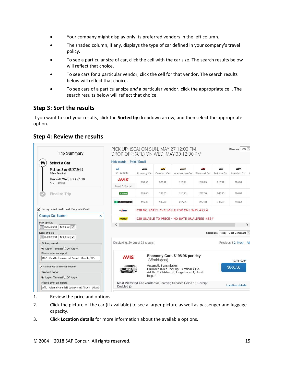- Your company might display only its preferred vendors in the left column.
- The shaded column, if any, displays the type of car defined in your company's travel policy.
- To see a particular size of car, click the cell with the car size. The search results below will reflect that choice.
- To see cars for a particular vendor, click the cell for that vendor. The search results below will reflect that choice.
- To see cars of a particular size *and* a particular vendor, click the appropriate cell. The search results below will reflect that choice.

### <span id="page-14-0"></span>**Step 3: Sort the results**

If you want to sort your results, click the **Sorted by** dropdown arrow, and then select the appropriate option.

### <span id="page-14-1"></span>**Step 4: Review the results**

| <b>Trip Summary</b>                                                                                     | PICK UP: (SEA) ON SUN, MAY 27 12:00 PM<br>DROP OFF: (ATL) ON WED, MAY 30 12:00 PM |                    |                                |                                                                                         |              |                           | Show as USD                        |
|---------------------------------------------------------------------------------------------------------|-----------------------------------------------------------------------------------|--------------------|--------------------------------|-----------------------------------------------------------------------------------------|--------------|---------------------------|------------------------------------|
| Select a Car                                                                                            | Hide matrix Print / Email                                                         |                    |                                |                                                                                         |              |                           |                                    |
| Pick-up: Sun, 05/27/2018<br>SEA - Terminal                                                              | All<br>20 results                                                                 | -52<br>Economy Car | <b>START OF</b><br>Compact Car | $ -$<br>Intermediate Car                                                                | Standard Car | والتناول<br>Full-size Car | Premium Car L                      |
| Drop-off: Wed, 05/30/2018<br>ATL - Terminal                                                             | <b>AVIS</b><br>Most Preferred                                                     | 198.98             | 203.99                         | 210.99                                                                                  | 216,99       | 216.99                    | 228.99                             |
| Finalize Trip                                                                                           | <b>Rf National</b>                                                                | 195,00             | 195.00                         | 211.25                                                                                  | 227.50       | 243.75                    | 260.00                             |
|                                                                                                         | <b>Enterprise</b>                                                                 | 195.00             | 195.00                         | 211.25                                                                                  | 227.50       | 243.75                    | 258.64                             |
| V Use my default credit card: 'Corporate Card'.                                                         | or denna                                                                          |                    |                                | 020 NO RATES AVAILABLE FOR ONE WAY #ZR#                                                 |              |                           |                                    |
| <b>Change Car Search</b><br>́                                                                           | <b>Hertz</b>                                                                      |                    |                                | 020 UNABLE TO PRICE - NO RATE QUALIFIES #ZE#                                            |              |                           |                                    |
| Pick-up date<br>  111 05/27/2018<br>12:00 pm $\vee$                                                     |                                                                                   |                    |                                |                                                                                         |              |                           | $\rightarrow$                      |
| Drop-off date<br>  05/30/2018<br>12:00 pm $\vee$                                                        |                                                                                   |                    |                                |                                                                                         |              |                           | Sorted By: Policy - Most Compliant |
| Pick-up car at-<br>Airport Terminal Off-Airport                                                         | Displaying: 20 out of 20 results.                                                 |                    |                                |                                                                                         |              |                           | Previous 1 2 Next   All            |
| Please enter an airport.<br>SEA - Seattle-Tacoma Intl Airport - Seattle, WA                             | <b>AVIS</b>                                                                       |                    | (Worldspan)                    | Economy Car - \$198.98 per day                                                          |              |                           | Total cost*                        |
| $\sqrt{\phantom{a}}$ Return car to another location<br>Drop-off car at-<br>Airport Terminal Off-Airport |                                                                                   | bags: 1            | Automatic transmission         | Unlimited miles, Pick-up: Terminal: SEA<br>Adults: 2, Children: 2, Large bags: 1, Small |              |                           | \$806.56                           |
| Please enter an airport.<br>ATL - Atlanta Hartsfield-Jackson Intl Airport - Atlant;                     | Enabled $\omega$                                                                  |                    |                                | Most Preferred Car Vendor for Learning Services Demo / E-Receipt                        |              |                           | <b>Location details</b>            |

- 1. Review the price and options.
- 2. Click the picture of the car (if available) to see a larger picture as well as passenger and luggage capacity.
- 3. Click **Location details** for more information about the available options.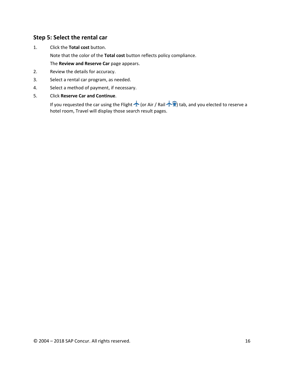#### <span id="page-15-0"></span>**Step 5: Select the rental car**

1. Click the **Total cost** button. Note that the color of the **Total cost** button reflects policy compliance. The **Review and Reserve Car** page appears.

2. Review the details for accuracy.

- 3. Select a rental car program, as needed.
- 4. Select a method of payment, if necessary.
- <span id="page-15-1"></span>5. Click **Reserve Car and Continue**.

If you requested the car using the Flight  $\bigwedge$  (or Air / Rail  $\bigwedge^2$ ) tab, and you elected to reserve a hotel room, Travel will display those search result pages.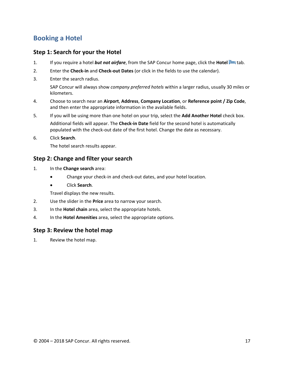## <span id="page-16-0"></span>**Booking a Hotel**

#### <span id="page-16-1"></span>**Step 1: Search for your the Hotel**

- 1. If you require a hotel *but not airfare*, from the SAP Concur home page, click the **Hotel** tab.
- 2. Enter the **Check-in** and **Check-out Dates** (or click in the fields to use the calendar).
- 3. Enter the search radius.

SAP Concur will always show *company preferred hotels* within a larger radius, usually 30 miles or kilometers.

- 4. Choose to search near an **Airport**, **Address**, **Company Location**, or **Reference point / Zip Code**, and then enter the appropriate information in the available fields.
- 5. If you will be using more than one hotel on your trip, select the **Add Another Hotel** check box. Additional fields will appear. The **Check-in Date** field for the second hotel is automatically populated with the check-out date of the first hotel. Change the date as necessary.
- 6. Click **Search**.

The hotel search results appear.

#### <span id="page-16-2"></span>**Step 2: Change and filter your search**

- 1. In the **Change search** area:
	- Change your check-in and check-out dates, and your hotel location.
	- Click **Search**.

Travel displays the new results.

- 2. Use the slider in the **Price** area to narrow your search.
- 3. In the **Hotel chain** area, select the appropriate hotels.
- 4. In the **Hotel Amenities** area, select the appropriate options.

#### <span id="page-16-3"></span>**Step 3: Review the hotel map**

1. Review the hotel map.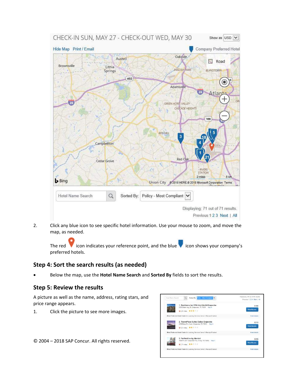

2. Click any blue icon to see specific hotel information. Use your mouse to zoom, and move the map, as needed.

The red icon indicates your reference point, and the blue icon shows your company's preferred hotels.

### <span id="page-17-0"></span>**Step 4: Sort the search results (as needed)**

• Below the map, use the **Hotel Name Search** and **Sorted By** fields to sort the results.

### <span id="page-17-1"></span>**Step 5: Review the results**

A picture as well as the name, address, rating stars, and price range appears.

1. Click the picture to see more images.

© 2004 – 2018 SAP Concur. All rights reserved. 18

| 1. Residence Inn DFW Arpt North/Grapevine<br>2020 State Hwy 26, Grapevine, TX 76061 Mac-4.<br>9445 miles ***** | \$169<br><b>View Rooms</b> |
|----------------------------------------------------------------------------------------------------------------|----------------------------|
| Most Preferred Hotel Chain for Learning Services Demo E-Receipt Enabled                                        | Hotel details              |
| 2. TownePlace Suites Dallas Grapevine<br>2200 Bass Pro Court, Grapevine, TX 76051 Map it<br>9421 miss *****    | \$210<br><b>View Rooms</b> |
| Most Preferred Hotel Chain for Learning Services Deno E-Becaust Enabled.                                       | Hirtal details             |
| 3. Fairfield Inn by Marriott<br>4800 W John Carpenter Fwy. Irving, TX 75063 Mas it<br><b>V211mles 青太太士士</b>    | \$229<br><b>View Rooms</b> |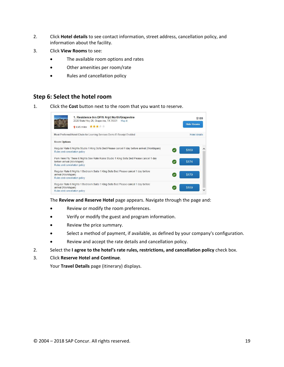- 2. Click **Hotel details** to see contact information, street address, cancellation policy, and information about the facility.
- 3. Click **View Rooms** to see:
	- The available room options and rates
	- Other amenities per room/rate
	- Rules and cancellation policy

#### <span id="page-18-0"></span>**Step 6: Select the hotel room**

1. Click the **Cost** button next to the room that you want to reserve.



The **Review and Reserve Hotel** page appears. Navigate through the page and:

- Review or modify the room preferences.
- Verify or modify the guest and program information.
- Review the price summary.
- Select a method of payment, if available, as defined by your company's configuration.
- Review and accept the rate details and cancellation policy.
- 2. Select the **I agree to the hotel's rate rules, restrictions, and cancellation policy** check box.
- 3. Click **Reserve Hotel and Continue**.

Your **Travel Details** page (itinerary) displays.